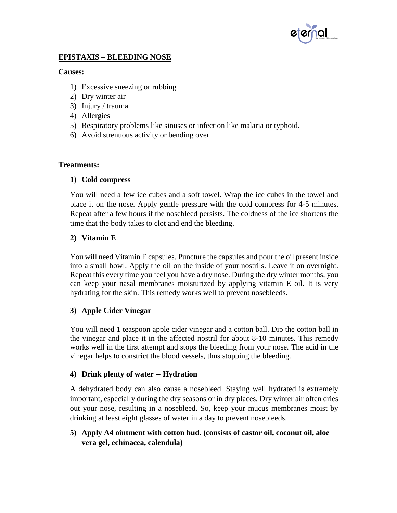

## **EPISTAXIS – BLEEDING NOSE**

#### **Causes:**

- 1) Excessive sneezing or rubbing
- 2) Dry winter air
- 3) Injury / trauma
- 4) Allergies
- 5) Respiratory problems like sinuses or infection like malaria or typhoid.
- 6) Avoid strenuous activity or bending over.

#### **Treatments:**

#### **1) Cold compress**

You will need a few ice cubes and a soft towel. Wrap the ice cubes in the towel and place it on the nose. Apply gentle pressure with the cold compress for 4-5 minutes. Repeat after a few hours if the nosebleed persists. The coldness of the ice shortens the time that the body takes to clot and end the bleeding.

### **2) Vitamin E**

You will need Vitamin E capsules. Puncture the capsules and pour the oil present inside into a small bowl. Apply the oil on the inside of your nostrils. Leave it on overnight. Repeat this every time you feel you have a dry nose. During the dry winter months, you can keep your nasal membranes moisturized by applying vitamin E oil. It is very hydrating for the skin. This remedy works well to prevent nosebleeds.

#### **3) Apple Cider Vinegar**

You will need 1 teaspoon apple cider vinegar and a cotton ball. Dip the cotton ball in the vinegar and place it in the affected nostril for about 8-10 minutes. This remedy works well in the first attempt and stops the bleeding from your nose. The acid in the vinegar helps to constrict the blood vessels, thus stopping the bleeding.

## **4) Drink plenty of water -- Hydration**

A dehydrated body can also cause a nosebleed. Staying well hydrated is extremely important, especially during the dry seasons or in dry places. Dry winter air often dries out your nose, resulting in a nosebleed. So, keep your mucus membranes moist by drinking at least eight glasses of water in a day to prevent nosebleeds.

## **5) Apply A4 ointment with cotton bud. (consists of castor oil, coconut oil, aloe vera gel, echinacea, calendula)**